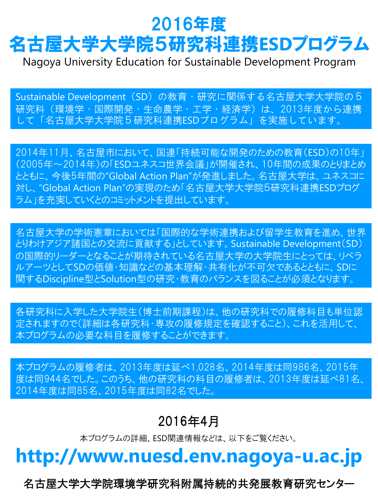# 2016年度 名古屋大学大学院5研究科連携**ESD**プログラム

Nagoya University Education for Sustainable Development Program

Sustainable Development (SD) の教育・研究に関係する名古屋大学大学院の5 研究科(環境学・国際開発・生命農学・工学・経済学)は、2013年度から連携 して「名古屋大学大学院5研究科連携ESDプログラム」を実施しています。

2014年11月、名古屋市において、国連「持続可能な開発のための教育(ESD)の10年」 (2005年~2014年)の「ESDユネスコ世界会議」が開催され、10年間の成果のとりまとめ とともに、今後5年間の"Global Action Plan"が発進しました。名古屋大学は、ユネスコに 対し、"Global Action Plan"の実現のため「名古屋大学大学院5研究科連携ESDプログ ラム」を充実していくとのコミットメントを提出しています。

名古屋大学の学術憲章においては「国際的な学術連携および留学生教育を進め、世界 とりわけアジア諸国との交流に貢献する」としています。Sustainable Development(SD) の国際的リーダーとなることが期待されている名古屋大学の大学院生にとっては、リベラ ルアーツとしてSDの価値・知識などの基本理解・共有化が不可欠であるとともに、SDに 関するDiscipline型とSolution型の研究・教育のバランスを図ることが必須となります。

各研究科に入学した大学院生(博士前期課程)は、他の研究科での履修科目も単位認 定されますので(詳細は各研究科・専攻の履修規定を確認すること)、これを活用して、 本プログラムの必要な科目を履修することができます。

本プログラムの履修者は、2013年度は延べ1,028名、2014年度は同986名、2015年 度は同944名でした。このうち、他の研究科の科目の履修者は、2013年度は延べ81名、 2014年度は同85名、2015年度は同82名でした。

## 2016年4月

本プログラムの詳細、ESD関連情報などは、以下をご覧ください。

## **http://www.nuesd.env.nagoya-u.ac.jp**

名古屋大学大学院環境学研究科附属持続的共発展教育研究センター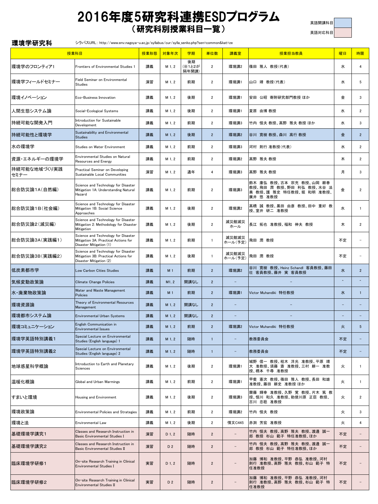### 2016年度5研究科連携ESDプログラム (研究科別授業科目一覧)

英語開講科目

英語対応科目

| 環境学研究科               | シラバスURL: http://www.env.nagoya-u.ac.jp/syllabus/cur/sylla_senko.php?sen=common&kat=ze                  |      |                |                       |                |                          |                                                                                             |           |                          |
|----------------------|--------------------------------------------------------------------------------------------------------|------|----------------|-----------------------|----------------|--------------------------|---------------------------------------------------------------------------------------------|-----------|--------------------------|
|                      | 授業科目                                                                                                   | 授業形態 | 対象年次           | 学期                    | 単位数            | 講義室                      | 授業担当教員                                                                                      | 曜日        | 時限                       |
| 環境学のフロンティア1          | Frontiers of Environmental Studies 1                                                                   | 講義   | M 1, 2         | 後期<br>(※1と2が<br>隔年開講) | $\overline{2}$ | 環境講2                     | 篠田 雅人 教授(代表)                                                                                | 水         | 4                        |
| 環境学フィールドセミナー         | Field Seminar on Environmental<br><b>Studies</b>                                                       | 演習   | M 1, 2         | 前期                    | $\overline{2}$ | 環境講1                     | 山口 靖 教授(代表)                                                                                 | 水         | 5                        |
| 環境イノベーション            | Eco-Business Innovation                                                                                | 講義   | M 1, 2         | 後期                    | 2              | 環境講1                     | 安田 公昭 寄附研究部門教授 ほか                                                                           | 金         | 3                        |
| 人間生態システム論            | Social-Ecological Systems                                                                              | 講義   | M 1, 2         | 後期                    | $\overline{2}$ | 環境講1                     | 夏原 由博教授                                                                                     | 水         | $\overline{2}$           |
| 持続可能な開発入門            | Introduction for Sustainable<br>Development                                                            | 講義   | M 1.2          | 前期                    | $\overline{2}$ | 環境講3                     | 竹内 恒夫 教授、高野 雅夫 教授 ほか                                                                        | 水         | 3                        |
| 持続可能性と環境学            | Sustainability and Environmental<br><b>Studies</b>                                                     | 講義   | M 1, 2         | 後期                    | $\overline{2}$ | 環境講2                     | 谷川 寛樹 教授、森川 高行 教授                                                                           | 金         | $2^{\circ}$              |
| 水の環境学                | Studies on Water Environment                                                                           | 講義   | M 1, 2         | 前期                    | $\overline{2}$ | 環境講3                     | 河村 則行 准教授(代表)                                                                               | 水         | $\overline{2}$           |
| 資源・エネルギーの環境学         | Environmental Studies on Natural<br>Resources and Energy                                               | 講義   | M 1, 2         | 前期                    | $\overline{2}$ | 環境講2                     | 高野 雅夫 教授                                                                                    | 木         | $\overline{2}$           |
| 持続可能な地域づくり実践<br>セミナー | Practical Seminar on Developing<br>Sustainable Local Communities                                       | 演習   | M 1, 2         | 通年                    | $\overline{4}$ | 環境講3                     | 高野 雅夫 教授                                                                                    | 月         | 3                        |
| 総合防災論1A(自然編)         | Science and Technology for Disaster<br>Mitigation 1A: Understanding Natural<br>Hazard                  | 講義   | M 1, 2         | 前期                    | $\overline{2}$ | 環境講3                     | 鈴木 康弘 教授、古本 宗充 教授、山岡 耕春<br>教授、飛田 潤 教授、野田 利弘 教授、水谷 法<br>美 教授、護 雅史 特任教授、堀 和明 准教授、<br>廣井 悠 准教授 | 金         | $\overline{2}$           |
| 総合防災論1B(社会編)         | Science and Technology for Disaster<br>Mitigation 1B: Social Science<br>Approaches                     | 講義   | M 1, 2         | 後期                    | $\overline{2}$ | 環境講2                     | 高橋 誠 教授、黒田 由彦 教授、田中 重好 教<br>授、室井 研二 准教授                                                     | 水         | $\mathbf{1}$             |
| 総合防災論2(減災編)          | Science and Technology for Disaster<br>Mitigation 2: Methodology for Disaster<br>Mitigation            | 講義   | M 1, 2         | 後期                    | $\overline{2}$ | 減災館減災<br>ホール             | 長江 拓也 准教授、福和 伸夫 教授                                                                          | 木         | $\overline{2}$           |
| 総合防災論3A(実践編1)        | Science and Technology for Disaster<br>Mitigation 3A: Practical Actions for<br>Disaster Mitigation (1) | 講義   | M 1, 2         | 前期                    | $\mathbf{1}$   | 減災館減災<br>ホール(予定)         | 飛田 潤 教授                                                                                     | 不定        |                          |
| 総合防災論3B(実践編2)        | Science and Technology for Disaster<br>Mitigation 3B: Practical Actions for<br>Disaster Mitigation (2) | 講義   | M 1, 2         | 後期                    | $\mathbf{1}$   | 減災館減災<br>ホール(予定)         | 飛田 潤 教授                                                                                     | 不定        |                          |
| 低炭素都市学               | Low Carbon Cities Studies                                                                              | 講義   | M <sub>1</sub> | 前期                    | $\overline{2}$ | 環境講2                     | 谷川 寛樹 教授、Heinz Schandl 客員教授、藤田<br>壮 客員教授、藤井 実 客員教授                                          | 水         | $\overline{2}$           |
| 気候変動政策論              | <b>Climate Change Policies</b>                                                                         | 講義   | M1.2           | 開講なし                  | $\overline{2}$ | $\overline{\phantom{0}}$ |                                                                                             | $\lambda$ | $\overline{\phantom{a}}$ |
| 水・廃棄物政策論             | Water and Waste Management<br>Policies                                                                 | 講義   | M <sub>1</sub> | 前期                    | $\overline{2}$ | 環境講1                     | Victor Muhandiki 特任教授                                                                       | 水         | $\mathbf{1}$             |
| 環境資源論                | Theory of Environmental Resources<br>Management                                                        | 講義   | M 1, 2         | 開講なし                  | $\overline{2}$ | $\qquad \qquad -$        |                                                                                             |           |                          |
| 環境都市システム論            | Environmental Urban Systems                                                                            | 講義   | M 1, 2         | 開講なし                  | $\overline{2}$ |                          |                                                                                             |           |                          |
| 環境コミュニケーション          | English Communication in<br><b>Environmental Issues</b>                                                | 講義   | M 1, 2         | 前期                    | $\overline{2}$ | 環境講2                     | Victor Muhandiki 特任教授                                                                       | 火         | $5\phantom{.0}$          |
| 環境学英語特別講義1           | Special Lecture on Environmental<br>Studies (English language) 1                                       | 講義   | M 1, 2         | 随時                    | $\mathbf{1}$   |                          | 教務委員会                                                                                       | 不定        |                          |
| 環境学英語特別講義2           | Special Lecture on Environmental<br>Studies (English language) 2                                       | 講義   | M 1, 2         | 随時                    | $\mathbf{1}$   |                          | 教務委員会                                                                                       | 不定        |                          |
| 地球惑星科学概論             | Introduction to Earth and Planetary<br>Sciences                                                        | 講義   | M 1, 2         | 後期                    | $\overline{2}$ | 環境講1                     | 城野 信一 教授、桂木 洋光 准教授、平原 靖<br>大 准教授、須藤 斎 准教授、三村 耕一 准教<br>授、橋本 千尋 准教授                           | 火         | $\mathbf{1}$             |
| 温暖化概論                | Global and Urban Warmings                                                                              | 講義   | M 1, 2         | 前期                    | $\overline{2}$ | 環境講1                     | 甲斐 憲次 教授、篠田 雅人 教授、長田 和雄<br>准教授、藤田 耕史 准教授 ほか                                                 | 火         | $\mathbf{1}$             |
| すまいと環境               | Housing and Environment                                                                                | 講義   | M 1, 2         | 後期                    | $\overline{2}$ | 環境講3                     | 齋藤 輝幸 准教授、久野 覚 教授、片木 篤 教<br>授、恒川 和久 准教授、勅使川原 正臣 教授、<br>古川 忠稔 准教授                            | 火         | $\overline{2}$           |
| 環境政策論                | <b>Environmental Policies and Strategies</b>                                                           | 講義   | M 1, 2         | 前期                    | 2              | 環境講2                     | 竹内 恒夫 教授                                                                                    | 火         | 3                        |
| 環境と法                 | <b>Environmental Law</b>                                                                               | 講義   | M 1, 2         | 後期                    | $\overline{2}$ | 情文C445                   | 赤渕 芳宏 准教授                                                                                   | 火         | 4                        |
| 基礎環境学講究1             | Classes and Research Instruction in<br>Basic Environmental Studies I                                   | 演習   | D 1, 2         | 随時                    | $\overline{2}$ | $\overline{\phantom{0}}$ | 竹内 恒夫 教授、高野 雅夫 教授、渡邊 誠一<br>郎 教授 杉山 範子 特任准教授、ほか                                              | 不定        |                          |
| 基礎環境学講究2             | Classes and Research Instruction in<br>Basic Environmental Studies II                                  | 演習   | D 2            | 随時                    | $\overline{2}$ |                          | 竹内 恒夫 教授、高野 雅夫 教授、渡邊 誠一<br>郎 教授 杉山 範子 特任准教授、ほか                                              | 不定        |                          |
| 臨床環境学研修1             | On-site Research Training in Clinical<br><b>Environmental Studies I</b>                                | 実習   | D 1, 2         | 随時                    | $\overline{2}$ |                          | 加藤 博和 准教授、平野 恭弘 准教授、河村<br>則行 准教授、高野 雅夫 教授、杉山 範子 特<br>任准教授                                   | 不定        |                          |
| 臨床環境学研修2             | On-site Research Training in Clinical<br>Environmental Studies II                                      | 実習   | D 2            | 随時                    | $\overline{2}$ |                          | 加藤 博和 准教授、平野 恭弘 准教授、河村<br>則行 准教授、高野 雅夫 教授、杉山 範子 特<br>任准教授                                   | 不定        |                          |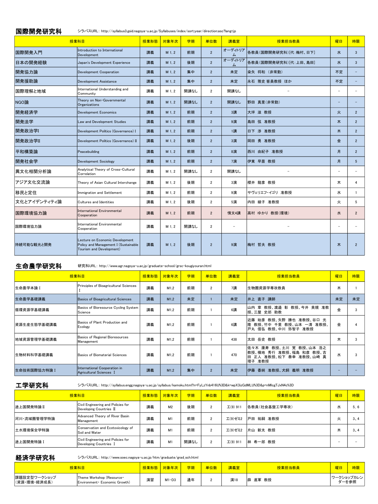|              | 授業科目                                                                                                | 授業形態 | 対象年次   | 学期   | 単位数            | 講義室          | 授業担当教員                | 曜日                       | 時限             |
|--------------|-----------------------------------------------------------------------------------------------------|------|--------|------|----------------|--------------|-----------------------|--------------------------|----------------|
| 国際開発入門       | Introduction to International<br>Development                                                        | 講義   | M 1.2  | 前期   | $\overline{2}$ | オーディトリア<br>厶 | 各教員(国際開発研究科)「代:梅村、日下] | zК                       | $\overline{3}$ |
| 日本の開発経験      | Japan's Development Experience                                                                      | 講義   | M 1, 2 | 後期   | $\overline{2}$ | オーディトリア<br>厶 | 各教員(国際開発研究科)[代:上田、島田] | zК                       | 3              |
| 開発協力論        | Development Cooperation                                                                             | 講義   | M 1.2  | 集中   | $\overline{2}$ | 未定           | 染矢 将和 (非常勤)           | 不定                       |                |
| 開発援助論        | Development Assistance                                                                              | 講義   | M 1.2  | 集中   | $\overline{2}$ | 未定           | 永石 雅史 客員教授 ほか         | 不定                       |                |
| 国際理解と地域      | International Understanding and<br>Community                                                        | 講義   | M 1.2  | 開講なし | $\overline{2}$ | 開講なし         |                       | ÷                        |                |
| NGO論         | Theory on Non-Governmental<br><b>Organizations</b>                                                  | 講義   | M 1.2  | 開講なし | $\overline{2}$ | 開講なし         | 野田 真里(非常勤)            | $\equiv$                 |                |
| 開発経済学        | <b>Development Economics</b>                                                                        | 講義   | M 1.2  | 前期   | $\overline{2}$ | 3講           | 大坪 滋 教授               | 火                        | $\overline{2}$ |
| 開発法学         | Law and Development Studies                                                                         | 講義   | M 1.2  | 前期   | $\overline{2}$ | 9演           | 島田 弦 准教授              | 木                        | $\overline{2}$ |
| 開発政治学        | Development Politics (Governance) I                                                                 | 講義   | M 1.2  | 前期   | $\overline{2}$ | 1講           | 日下 涉 准教授              | 木                        | $\overline{2}$ |
| 開発政治学II      | Development Politics (Governance) II                                                                | 講義   | M 1.2  | 後期   | $\overline{2}$ | 3演           | 岡田 勇 准教授              | 金                        | $\overline{2}$ |
| 平和構築論        | Peacebuilding                                                                                       | 講義   | M 1.2  | 前期   | $\overline{2}$ | 8演           | 西川 由紀子 准教授            | 月                        | $\overline{2}$ |
| 開発社会学        | <b>Development Sociology</b>                                                                        | 講義   | M 1.2  | 前期   | $\overline{2}$ | 7演           | 伊東 早苗 教授              | 月                        | 5 <sup>5</sup> |
| 異文化相関分析論     | Analytical Theory of Cross-Cultural<br>Correlation                                                  | 講義   | M 1.2  | 開講なし | $\overline{2}$ | 開講なし         |                       | ۰                        |                |
| アジア文化交流論     | Theory of Asian Cultural Interchange                                                                | 講義   | M 1.2  | 後期   | $\overline{2}$ | 3演           | 櫻井 龍彦 教授              | 木                        | 4              |
| 移民と定住        | Immigration and Settlement                                                                          | 講義   | M 1, 2 | 前期   | $\overline{2}$ | 9演           | サヴェリエフ・イゴリ 准教授        | ж                        | $\mathbf{1}$   |
| 文化とアイデンティティ論 | Cultures and Identities                                                                             | 講義   | M 1.2  | 後期   | $\overline{2}$ | 5演           | 内田 綾子 准教授             | 火                        | 5              |
| 国際環境協力論      | <b>International Environmental</b><br>Cooperation                                                   | 講義   | M 1.2  | 前期   | $\overline{2}$ | 情文4講         | 高村 ゆかり 教授(環境)         | 水                        | $\overline{2}$ |
| 国際環境協力論      | <b>International Environmental</b><br>Cooperation                                                   | 講義   | M 1.2  | 開講なし | $\overline{2}$ |              |                       | $\overline{\phantom{0}}$ |                |
| 持続可能な観光と開発   | Lecture on Economic Development<br>Policy and Management I (Sustainable<br>Tourism and Development) | 講義   | M 1.2  | 後期   | $\overline{2}$ | 9演           | 梅村 哲夫 教授              | 木                        | $\overline{2}$ |

生命農学研究科 研究科URL: http://www.agr.nagoya-u.ac.jp/graduate-school/grsc-kougiyouran.html

|              | 授業科目                                                    | 授業形態 | 対象年次 | 学期 | 単位数            | 講義室 | 授業担当教員                                                                                        | 曜日 | 時限 |
|--------------|---------------------------------------------------------|------|------|----|----------------|-----|-----------------------------------------------------------------------------------------------|----|----|
| 生命農学本論 I     | Principles of Bioagricultural Sciences                  | 講義   | M1.2 | 前期 | $\overline{2}$ | 7講  | 生物圏資源学専攻教員                                                                                    | 木  |    |
| 生命農学基礎講義     | Basics of Bioagricultural Sciences                      | 講義   | M1.2 | 未定 |                | 未定  | 井上 直子 講師                                                                                      | 未定 | 未定 |
| 循環資源学基礎講義    | Basics of Bioresource Cycling System<br>Science         | 講義   | M1.2 | 前期 |                | 6講  | 章 教授、渡邉 彰 教授、今井 貴規 准教<br>山内<br>授、三屋 史郎 助教                                                     | 金  |    |
| 資源生産生態学基礎講義  | Basics of Plant Production and<br>Ecology               | 講義   | M1.2 | 前期 |                | 6講  | 始彦 教授、矢野 勝也 准教授、谷口 光<br>近藤<br>教授、竹中 千里 教授、山本 一清 准教授、<br>降<br>戸丸 信弘 教授、中川 弥智子 准教授              | 金  |    |
| 地域資源管理学基礎講義  | Basics of Regional Bioresources<br>Management           | 講義   | M1.2 | 前期 |                | 438 | 太田 岳史 教授                                                                                      | 木  |    |
| 生物材料科学基礎講義   | Basics of Biomaterial Sciences                          | 講義   | M1.2 | 前期 |                | 470 | 佐々木 康寿 教授、土川 覚 教授、山本 浩之<br>教授、横地 秀行 准教授、福島 和彦 教授、吉<br>正人 准教授、松下 泰幸 准教授、山崎 真<br>田<br>准教授<br>理子 | 水  |    |
| 生命技術国際協力特論 I | International Cooperation in<br>Agricultural Sciences I | 講義   | M1.2 | 集中 | $\overline{2}$ | 未定  | 伊藤<br>香純 准教授、犬飼 義明 准教授                                                                        |    |    |

工学研究科 シラバスURL: http://syllabus.engg.nagoya-u.ac.jp/syllabus/kamoku.html?n=FyLzYnb416U%3D&k=wpX3izGdMLU%3D&p=nMlcgTJxN4c%3D

| 授業科目        |                                                               |    | 授業形態 対象年次      | 学期   | 単位数      | 講義室                           | 授業担当教員        | 曜日 | 時限   |
|-------------|---------------------------------------------------------------|----|----------------|------|----------|-------------------------------|---------------|----|------|
| 途上国開発特論Ⅱ    | Civil Engineering and Policies for<br>Developing Countries II | 講義 | M <sub>2</sub> | 後期   | $\Omega$ | $\mathcal{I}(9)$ 91           | 各教員(社会基盤工学専攻) | ж  | 5.6  |
| 河川·流域圏管理学特論 | Advanced Theory of River Basin<br>Management                  | 講義 | M1             | 前期   | ົ        | 工(9)ゼミ2                       | 戸田 祐嗣 准教授     | 火  | 3, 4 |
| 土水環境保全学特論   | Conservation and Ecotoxicology of<br>Soil and Water           | 講義 | M1             | 前期   | $\Omega$ | 工(9)ゼミ2                       | 片山 新太 教授      | ᄎ  | 3, 4 |
| 途上国開発特論 I   | Civil Engineering and Policies for<br>Developing Countries I  | 講義 | M <sub>1</sub> | 開講なし | o        | $\mathbf{\mathcal{I}}(9)$ 911 | 林 希一郎 教授      |    |      |

経済学研究科 シラバスURL: http://www.soec.nagoya-u.ac.jp/htm/graduate/grad\_sch.html

| 授業科目                         |                                                            | 授業形態 | 対象年次    | 学期 | 単位数 | 講義室 | 授業担当教員        | 曜日                   | 時限 |
|------------------------------|------------------------------------------------------------|------|---------|----|-----|-----|---------------|----------------------|----|
| 課題設定型ワークショップ<br>(資源·環境·経済成長) | Theme Workshop (Resource •<br>Environment Economic Growth) | 演習   | $M1-D3$ | 通年 |     | 演18 | 教授<br>進軍<br>薛 | 「ワークショップカレン<br>ダーを参照 |    |